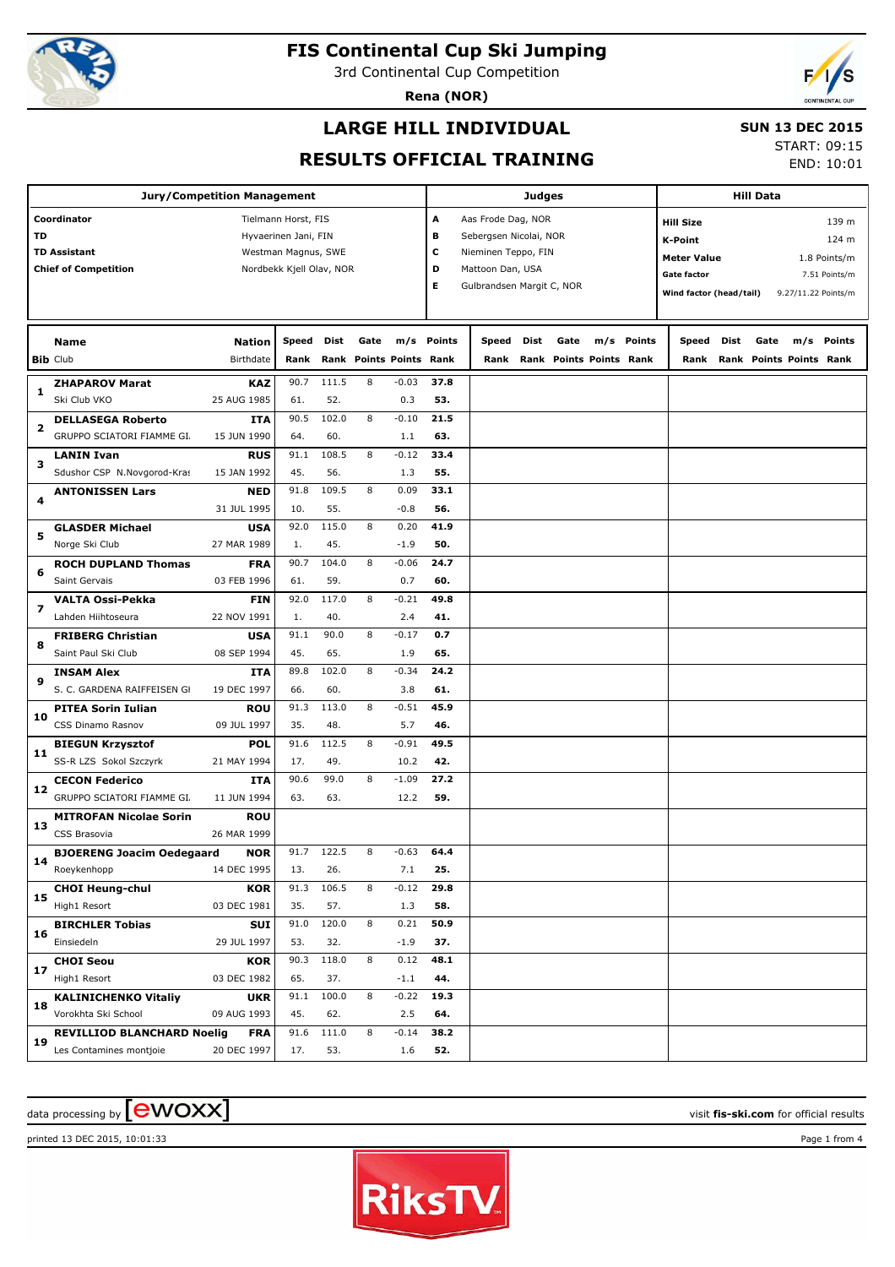

3rd Continental Cup Competition

**Rena (NOR)**

## **LARGE HILL INDIVIDUAL**

#### **SUN 13 DEC 2015**

**RESULTS OFFICIAL TRAINING**

START: 09:15 END: 10:01

| <b>Jury/Competition Management</b>         |                                   |               |                          |       |      |                         | Judges                   |                           |      |                         |  |            | <b>Hill Data</b>        |      |      |                              |               |
|--------------------------------------------|-----------------------------------|---------------|--------------------------|-------|------|-------------------------|--------------------------|---------------------------|------|-------------------------|--|------------|-------------------------|------|------|------------------------------|---------------|
| Coordinator<br>Tielmann Horst, FIS         |                                   |               |                          |       |      |                         | Aas Frode Dag, NOR<br>А  |                           |      |                         |  |            | <b>Hill Size</b>        |      |      |                              | 139 m         |
| <b>TD</b><br>Hyvaerinen Jani, FIN          |                                   |               |                          |       |      |                         | в                        | Sebergsen Nicolai, NOR    |      |                         |  |            | <b>K-Point</b>          |      |      |                              | 124 m         |
| <b>TD Assistant</b><br>Westman Magnus, SWE |                                   |               |                          |       |      |                         | с<br>Nieminen Teppo, FIN |                           |      |                         |  |            | <b>Meter Value</b>      |      |      |                              | 1.8 Points/m  |
|                                            | <b>Chief of Competition</b>       |               | Nordbekk Kjell Olav, NOR |       |      |                         | D                        | Mattoon Dan, USA          |      |                         |  |            | Gate factor             |      |      |                              | 7.51 Points/m |
|                                            |                                   |               |                          |       |      |                         | Е                        | Gulbrandsen Margit C, NOR |      |                         |  |            |                         |      |      |                              |               |
|                                            |                                   |               |                          |       |      |                         |                          |                           |      |                         |  |            | Wind factor (head/tail) |      |      | 9.27/11.22 Points/m          |               |
|                                            |                                   |               |                          |       |      |                         |                          |                           |      |                         |  |            |                         |      |      |                              |               |
|                                            | <b>Name</b>                       | <b>Nation</b> | Speed                    | Dist  | Gate |                         | m/s Points               | Speed                     | Dist | Gate                    |  | m/s Points | Speed                   | Dist | Gate |                              | m/s Points    |
|                                            | <b>Bib Club</b>                   | Birthdate     | Rank                     |       |      | Rank Points Points Rank |                          | Rank                      |      | Rank Points Points Rank |  |            |                         |      |      | Rank Rank Points Points Rank |               |
| 1                                          | <b>ZHAPAROV Marat</b>             | <b>KAZ</b>    | 90.7                     | 111.5 | 8    | $-0.03$                 | 37.8                     |                           |      |                         |  |            |                         |      |      |                              |               |
|                                            | Ski Club VKO                      | 25 AUG 1985   | 61.                      | 52.   |      | 0.3                     | 53.                      |                           |      |                         |  |            |                         |      |      |                              |               |
| 2                                          | <b>DELLASEGA Roberto</b>          | <b>ITA</b>    | 90.5                     | 102.0 | 8    | $-0.10$                 | 21.5                     |                           |      |                         |  |            |                         |      |      |                              |               |
|                                            | GRUPPO SCIATORI FIAMME GI.        | 15 JUN 1990   | 64.                      | 60.   |      | 1.1                     | 63.                      |                           |      |                         |  |            |                         |      |      |                              |               |
| з                                          | LANIN Ivan                        | <b>RUS</b>    | 91.1                     | 108.5 | 8    | $-0.12$                 | 33.4                     |                           |      |                         |  |            |                         |      |      |                              |               |
|                                            | Sdushor CSP N.Novgorod-Kras       | 15 JAN 1992   | 45.                      | 56.   |      | 1.3                     | 55.                      |                           |      |                         |  |            |                         |      |      |                              |               |
| 4                                          | <b>ANTONISSEN Lars</b>            | <b>NED</b>    | 91.8                     | 109.5 | 8    | 0.09                    | 33.1                     |                           |      |                         |  |            |                         |      |      |                              |               |
|                                            |                                   | 31 JUL 1995   | 10.                      | 55.   |      | $-0.8$                  | 56.                      |                           |      |                         |  |            |                         |      |      |                              |               |
|                                            | <b>GLASDER Michael</b>            | <b>USA</b>    | 92.0                     | 115.0 | 8    | 0.20                    | 41.9                     |                           |      |                         |  |            |                         |      |      |                              |               |
| 5                                          | Norge Ski Club                    | 27 MAR 1989   | 1.                       | 45.   |      | $-1.9$                  | 50.                      |                           |      |                         |  |            |                         |      |      |                              |               |
|                                            | <b>ROCH DUPLAND Thomas</b>        | <b>FRA</b>    | 90.7                     | 104.0 | 8    | $-0.06$                 | 24.7                     |                           |      |                         |  |            |                         |      |      |                              |               |
| 6                                          | Saint Gervais                     | 03 FEB 1996   | 61.                      | 59.   |      | 0.7                     | 60.                      |                           |      |                         |  |            |                         |      |      |                              |               |
|                                            | <b>VALTA Ossi-Pekka</b>           | <b>FIN</b>    | 92.0                     | 117.0 | 8    | $-0.21$                 | 49.8                     |                           |      |                         |  |            |                         |      |      |                              |               |
| 7                                          | Lahden Hiihtoseura                | 22 NOV 1991   | 1.                       | 40.   |      | 2.4                     | 41.                      |                           |      |                         |  |            |                         |      |      |                              |               |
|                                            | <b>FRIBERG Christian</b>          | <b>USA</b>    | 91.1                     | 90.0  | 8    | $-0.17$                 | 0.7                      |                           |      |                         |  |            |                         |      |      |                              |               |
| 8                                          | Saint Paul Ski Club               | 08 SEP 1994   | 45.                      | 65.   |      | 1.9                     | 65.                      |                           |      |                         |  |            |                         |      |      |                              |               |
| 9                                          | <b>INSAM Alex</b>                 | <b>ITA</b>    | 89.8                     | 102.0 | 8    | $-0.34$                 | 24.2                     |                           |      |                         |  |            |                         |      |      |                              |               |
|                                            | S. C. GARDENA RAIFFEISEN GI       | 19 DEC 1997   | 66.                      | 60.   |      | 3.8                     | 61.                      |                           |      |                         |  |            |                         |      |      |                              |               |
| 10                                         | <b>PITEA Sorin Iulian</b>         | <b>ROU</b>    | 91.3                     | 113.0 | 8    | $-0.51$                 | 45.9                     |                           |      |                         |  |            |                         |      |      |                              |               |
|                                            | CSS Dinamo Rasnov                 | 09 JUL 1997   | 35.                      | 48.   |      | 5.7                     | 46.                      |                           |      |                         |  |            |                         |      |      |                              |               |
| 11                                         | <b>BIEGUN Krzysztof</b>           | <b>POL</b>    | 91.6                     | 112.5 | 8    | $-0.91$                 | 49.5                     |                           |      |                         |  |            |                         |      |      |                              |               |
|                                            | SS-R LZS Sokol Szczyrk            | 21 MAY 1994   | 17.                      | 49.   |      | 10.2                    | 42.                      |                           |      |                         |  |            |                         |      |      |                              |               |
| 12                                         | <b>CECON Federico</b>             | ITA           | 90.6                     | 99.0  | 8    | $-1.09$                 | 27.2                     |                           |      |                         |  |            |                         |      |      |                              |               |
|                                            | GRUPPO SCIATORI FIAMME GI.        | 11 JUN 1994   | 63.                      | 63.   |      | 12.2                    | 59.                      |                           |      |                         |  |            |                         |      |      |                              |               |
| 13                                         | <b>MITROFAN Nicolae Sorin</b>     | <b>ROU</b>    |                          |       |      |                         |                          |                           |      |                         |  |            |                         |      |      |                              |               |
|                                            | CSS Brasovia                      | 26 MAR 1999   |                          |       |      |                         |                          |                           |      |                         |  |            |                         |      |      |                              |               |
|                                            | <b>BJOERENG Joacim Oedegaard</b>  | <b>NOR</b>    | 91.7                     | 122.5 | 8    | $-0.63$                 | 64.4                     |                           |      |                         |  |            |                         |      |      |                              |               |
| 14                                         | Roeykenhopp                       | 14 DEC 1995   | 13.                      | 26.   |      | 7.1                     | 25.                      |                           |      |                         |  |            |                         |      |      |                              |               |
| 15                                         | <b>CHOI Heung-chul</b>            | <b>KOR</b>    | 91.3                     | 106.5 | 8    | $-0.12$                 | 29.8                     |                           |      |                         |  |            |                         |      |      |                              |               |
|                                            | High1 Resort                      | 03 DEC 1981   | 35.                      | 57.   |      | 1.3                     | 58.                      |                           |      |                         |  |            |                         |      |      |                              |               |
|                                            | <b>BIRCHLER Tobias</b>            | <b>SUI</b>    | 91.0                     | 120.0 | 8    | 0.21                    | 50.9                     |                           |      |                         |  |            |                         |      |      |                              |               |
| 16                                         | Einsiedeln                        | 29 JUL 1997   | 53.                      | 32.   |      | $-1.9$                  | 37.                      |                           |      |                         |  |            |                         |      |      |                              |               |
| 17                                         | <b>CHOI Seou</b>                  | <b>KOR</b>    | 90.3                     | 118.0 | 8    | 0.12                    | 48.1                     |                           |      |                         |  |            |                         |      |      |                              |               |
|                                            | High1 Resort                      | 03 DEC 1982   | 65.                      | 37.   |      | $-1.1$                  | 44.                      |                           |      |                         |  |            |                         |      |      |                              |               |
|                                            | <b>KALINICHENKO Vitaliy</b>       | <b>UKR</b>    | 91.1                     | 100.0 | 8    | $-0.22$                 | 19.3                     |                           |      |                         |  |            |                         |      |      |                              |               |
| 18                                         | Vorokhta Ski School               | 09 AUG 1993   | 45.                      | 62.   |      | 2.5                     | 64.                      |                           |      |                         |  |            |                         |      |      |                              |               |
|                                            | <b>REVILLIOD BLANCHARD Noelig</b> | <b>FRA</b>    | 91.6                     | 111.0 | 8    | $-0.14$                 | 38.2                     |                           |      |                         |  |            |                         |      |      |                              |               |
| 19                                         | Les Contamines montjoie           | 20 DEC 1997   | 17.                      | 53.   |      | 1.6                     | 52.                      |                           |      |                         |  |            |                         |      |      |                              |               |
|                                            |                                   |               |                          |       |      |                         |                          |                           |      |                         |  |            |                         |      |      |                              |               |

# $\frac{1}{2}$  data processing by  $\boxed{\text{ewOX}}$

printed 13 DEC 2015, 10:01:33 Page 1 from 4

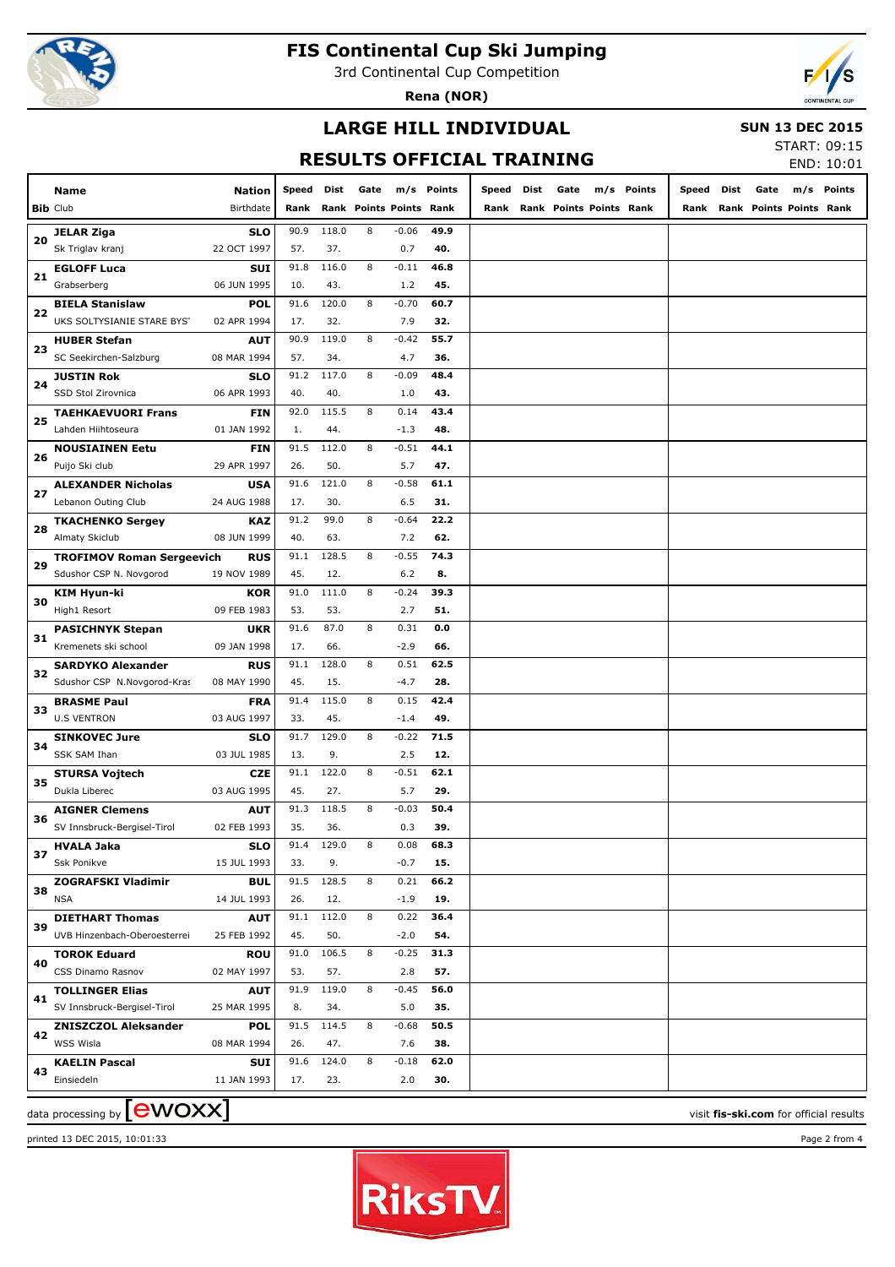

3rd Continental Cup Competition

**Rena (NOR)**



#### **LARGE HILL INDIVIDUAL**

#### **SUN 13 DEC 2015**

# **RESULTS OFFICIAL TRAINING**

START: 09:15  $END: 10:01$ 

|    |                                  |               |       |       |                         |         |            |       |      |                              |            |            |      |                              | END: 10:01 |
|----|----------------------------------|---------------|-------|-------|-------------------------|---------|------------|-------|------|------------------------------|------------|------------|------|------------------------------|------------|
|    | Name                             | <b>Nation</b> | Speed | Dist  | Gate                    |         | m/s Points | Speed | Dist | Gate                         | m/s Points | Speed Dist | Gate | m/s                          | Points     |
|    | <b>Bib Club</b>                  | Birthdate     | Rank  |       | Rank Points Points Rank |         |            |       |      | Rank Rank Points Points Rank |            |            |      | Rank Rank Points Points Rank |            |
|    | <b>JELAR Ziga</b>                | <b>SLO</b>    | 90.9  | 118.0 | 8                       | $-0.06$ | 49.9       |       |      |                              |            |            |      |                              |            |
| 20 | Sk Triglav kranj                 | 22 OCT 1997   | 57.   | 37.   |                         | 0.7     | 40.        |       |      |                              |            |            |      |                              |            |
|    | <b>EGLOFF Luca</b>               | <b>SUI</b>    | 91.8  | 116.0 | 8                       | $-0.11$ | 46.8       |       |      |                              |            |            |      |                              |            |
| 21 | Grabserberg                      | 06 JUN 1995   | 10.   | 43.   |                         | 1.2     | 45.        |       |      |                              |            |            |      |                              |            |
|    | <b>BIELA Stanislaw</b>           | <b>POL</b>    | 91.6  | 120.0 | 8                       | $-0.70$ | 60.7       |       |      |                              |            |            |      |                              |            |
| 22 | UKS SOLTYSIANIE STARE BYST       | 02 APR 1994   | 17.   | 32.   |                         | 7.9     | 32.        |       |      |                              |            |            |      |                              |            |
|    | <b>HUBER Stefan</b>              | AUT           | 90.9  | 119.0 | 8                       | $-0.42$ | 55.7       |       |      |                              |            |            |      |                              |            |
| 23 | SC Seekirchen-Salzburg           | 08 MAR 1994   | 57.   | 34.   |                         | 4.7     | 36.        |       |      |                              |            |            |      |                              |            |
|    | <b>JUSTIN Rok</b>                | SLO           | 91.2  | 117.0 | 8                       | $-0.09$ | 48.4       |       |      |                              |            |            |      |                              |            |
| 24 | SSD Stol Zirovnica               | 06 APR 1993   | 40.   | 40.   |                         | 1.0     | 43.        |       |      |                              |            |            |      |                              |            |
|    | <b>TAEHKAEVUORI Frans</b>        | FIN           | 92.0  | 115.5 | 8                       | 0.14    | 43.4       |       |      |                              |            |            |      |                              |            |
| 25 | Lahden Hiihtoseura               | 01 JAN 1992   | 1.    | 44.   |                         | $-1.3$  | 48.        |       |      |                              |            |            |      |                              |            |
|    |                                  |               |       |       |                         |         |            |       |      |                              |            |            |      |                              |            |
| 26 | <b>NOUSIAINEN Eetu</b>           | <b>FIN</b>    | 91.5  | 112.0 | 8                       | $-0.51$ | 44.1       |       |      |                              |            |            |      |                              |            |
|    | Puijo Ski club                   | 29 APR 1997   | 26.   | 50.   |                         | 5.7     | 47.        |       |      |                              |            |            |      |                              |            |
| 27 | <b>ALEXANDER Nicholas</b>        | <b>USA</b>    | 91.6  | 121.0 | 8                       | $-0.58$ | 61.1       |       |      |                              |            |            |      |                              |            |
|    | Lebanon Outing Club              | 24 AUG 1988   | 17.   | 30.   |                         | 6.5     | 31.        |       |      |                              |            |            |      |                              |            |
| 28 | <b>TKACHENKO Sergey</b>          | <b>KAZ</b>    | 91.2  | 99.0  | 8                       | $-0.64$ | 22.2       |       |      |                              |            |            |      |                              |            |
|    | Almaty Skiclub                   | 08 JUN 1999   | 40.   | 63.   |                         | 7.2     | 62.        |       |      |                              |            |            |      |                              |            |
| 29 | <b>TROFIMOV Roman Sergeevich</b> | <b>RUS</b>    | 91.1  | 128.5 | 8                       | $-0.55$ | 74.3       |       |      |                              |            |            |      |                              |            |
|    | Sdushor CSP N. Novgorod          | 19 NOV 1989   | 45.   | 12.   |                         | 6.2     | 8.         |       |      |                              |            |            |      |                              |            |
| 30 | <b>KIM Hyun-ki</b>               | <b>KOR</b>    | 91.0  | 111.0 | 8                       | $-0.24$ | 39.3       |       |      |                              |            |            |      |                              |            |
|    | High1 Resort                     | 09 FEB 1983   | 53.   | 53.   |                         | 2.7     | 51.        |       |      |                              |            |            |      |                              |            |
| 31 | <b>PASICHNYK Stepan</b>          | <b>UKR</b>    | 91.6  | 87.0  | 8                       | 0.31    | 0.0        |       |      |                              |            |            |      |                              |            |
|    | Kremenets ski school             | 09 JAN 1998   | 17.   | 66.   |                         | $-2.9$  | 66.        |       |      |                              |            |            |      |                              |            |
| 32 | <b>SARDYKO Alexander</b>         | <b>RUS</b>    | 91.1  | 128.0 | 8                       | 0.51    | 62.5       |       |      |                              |            |            |      |                              |            |
|    | Sdushor CSP N.Novgorod-Kras      | 08 MAY 1990   | 45.   | 15.   |                         | $-4.7$  | 28.        |       |      |                              |            |            |      |                              |            |
| 33 | <b>BRASME Paul</b>               | <b>FRA</b>    | 91.4  | 115.0 | 8                       | 0.15    | 42.4       |       |      |                              |            |            |      |                              |            |
|    | <b>U.S VENTRON</b>               | 03 AUG 1997   | 33.   | 45.   |                         | $-1.4$  | 49.        |       |      |                              |            |            |      |                              |            |
|    | <b>SINKOVEC Jure</b>             | SLO           | 91.7  | 129.0 | 8                       | $-0.22$ | 71.5       |       |      |                              |            |            |      |                              |            |
| 34 | <b>SSK SAM Ihan</b>              | 03 JUL 1985   | 13.   | 9.    |                         | 2.5     | 12.        |       |      |                              |            |            |      |                              |            |
|    | <b>STURSA Vojtech</b>            | <b>CZE</b>    | 91.1  | 122.0 | 8                       | $-0.51$ | 62.1       |       |      |                              |            |            |      |                              |            |
| 35 | Dukla Liberec                    | 03 AUG 1995   | 45.   | 27.   |                         | 5.7     | 29.        |       |      |                              |            |            |      |                              |            |
|    | <b>AIGNER Clemens</b>            | AUT           | 91.3  | 118.5 | 8                       | $-0.03$ | 50.4       |       |      |                              |            |            |      |                              |            |
| 36 | SV Innsbruck-Bergisel-Tirol      | 02 FEB 1993   | 35.   | 36.   |                         | 0.3     | 39.        |       |      |                              |            |            |      |                              |            |
|    | <b>HVALA Jaka</b>                | SLO           | 91.4  | 129.0 | 8                       | 0.08    | 68.3       |       |      |                              |            |            |      |                              |            |
| 37 | Ssk Ponikve                      | 15 JUL 1993   | 33.   | 9.    |                         | $-0.7$  | 15.        |       |      |                              |            |            |      |                              |            |
|    | <b>ZOGRAFSKI Vladimir</b>        | <b>BUL</b>    | 91.5  | 128.5 | 8                       | 0.21    | 66.2       |       |      |                              |            |            |      |                              |            |
| 38 | <b>NSA</b>                       | 14 JUL 1993   | 26.   | 12.   |                         | $-1.9$  | 19.        |       |      |                              |            |            |      |                              |            |
|    | <b>DIETHART Thomas</b>           | <b>AUT</b>    | 91.1  | 112.0 | 8                       | 0.22    | 36.4       |       |      |                              |            |            |      |                              |            |
| 39 | UVB Hinzenbach-Oberoesterrei     | 25 FEB 1992   | 45.   | 50.   |                         | $-2.0$  | 54.        |       |      |                              |            |            |      |                              |            |
|    | <b>TOROK Eduard</b>              | <b>ROU</b>    | 91.0  | 106.5 | 8                       | $-0.25$ | 31.3       |       |      |                              |            |            |      |                              |            |
| 40 | CSS Dinamo Rasnov                | 02 MAY 1997   | 53.   | 57.   |                         | 2.8     | 57.        |       |      |                              |            |            |      |                              |            |
|    | <b>TOLLINGER Elias</b>           | <b>AUT</b>    | 91.9  | 119.0 | 8                       | $-0.45$ | 56.0       |       |      |                              |            |            |      |                              |            |
| 41 | SV Innsbruck-Bergisel-Tirol      | 25 MAR 1995   | 8.    | 34.   |                         | 5.0     | 35.        |       |      |                              |            |            |      |                              |            |
|    | <b>ZNISZCZOL Aleksander</b>      | <b>POL</b>    | 91.5  | 114.5 | 8                       | $-0.68$ | 50.5       |       |      |                              |            |            |      |                              |            |
| 42 | WSS Wisla                        | 08 MAR 1994   | 26.   | 47.   |                         | 7.6     | 38.        |       |      |                              |            |            |      |                              |            |
|    | <b>KAELIN Pascal</b>             | <b>SUI</b>    | 91.6  | 124.0 | 8                       | $-0.18$ | 62.0       |       |      |                              |            |            |      |                              |            |
| 43 | Einsiedeln                       | 11 JAN 1993   | 17.   | 23.   |                         | 2.0     | 30.        |       |      |                              |            |            |      |                              |            |
|    |                                  |               |       |       |                         |         |            |       |      |                              |            |            |      |                              |            |

 $\frac{1}{2}$  data processing by  $\boxed{\text{ewOX}}$ 



printed 13 DEC 2015, 10:01:33 Page 2 from 4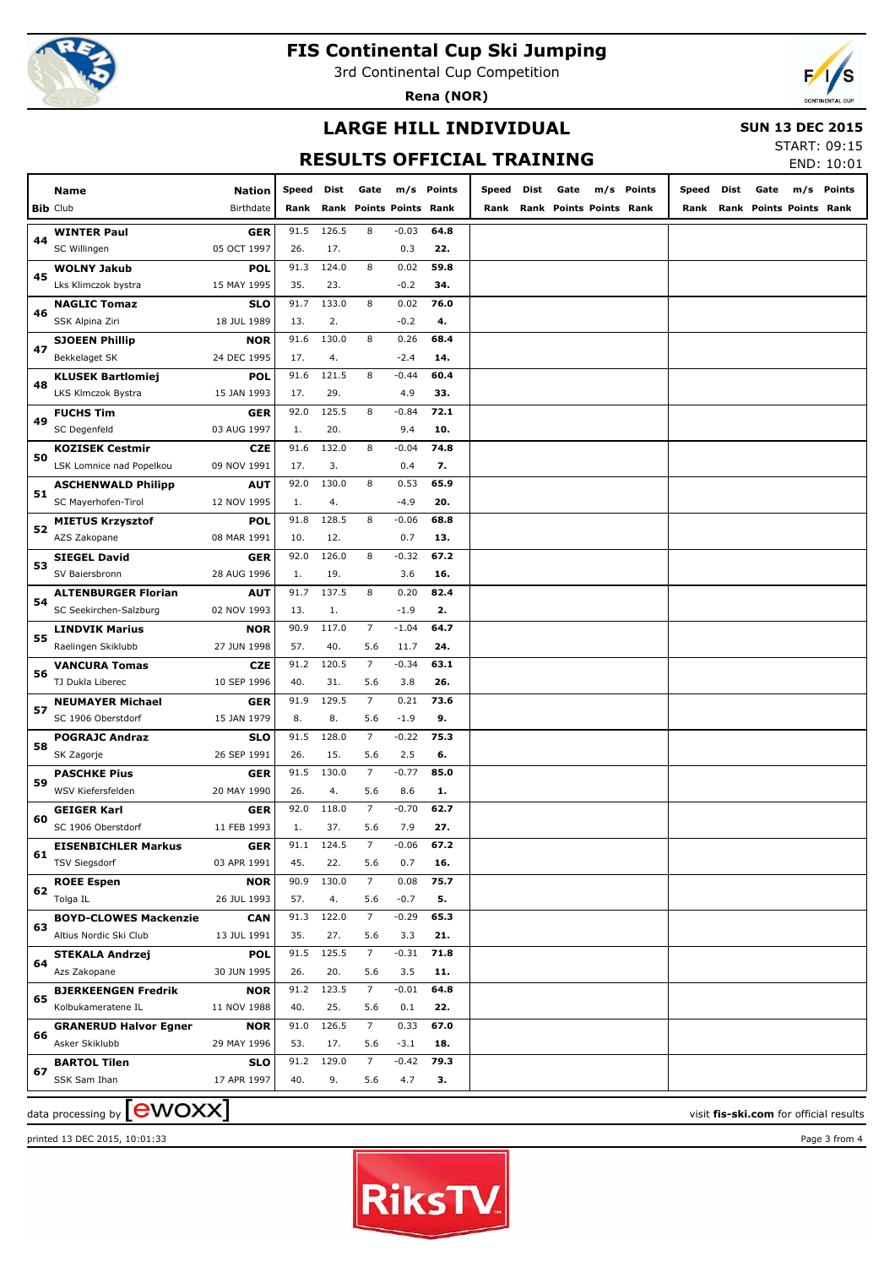

3rd Continental Cup Competition

**Rena (NOR)**



#### **LARGE HILL INDIVIDUAL**

 **SUN 13 DEC 2015**

# **RESULTS OFFICIAL TRAINING**

| START: 09:15 |            |
|--------------|------------|
|              | END: 10:01 |

|    |                                                  |               |       |       |                         |                |             |       |      |                                |            |       |      |                                | LIVD. IV.VI |
|----|--------------------------------------------------|---------------|-------|-------|-------------------------|----------------|-------------|-------|------|--------------------------------|------------|-------|------|--------------------------------|-------------|
|    | Name                                             | <b>Nation</b> | Speed | Dist  | Gate                    |                | m/s Points  | Speed | Dist | Gate                           | m/s Points | Speed | Dist | Gate                           | m/s Points  |
|    | <b>Bib Club</b>                                  | Birthdate     | Rank  |       | Rank Points Points Rank |                |             | Rank  |      | <b>Rank Points Points Rank</b> |            | Rank  |      | <b>Rank Points Points Rank</b> |             |
|    |                                                  | <b>GER</b>    | 91.5  | 126.5 | 8                       | $-0.03$        | 64.8        |       |      |                                |            |       |      |                                |             |
| 44 | <b>WINTER Paul</b><br>SC Willingen               | 05 OCT 1997   | 26.   | 17.   |                         | 0.3            | 22.         |       |      |                                |            |       |      |                                |             |
|    | <b>WOLNY Jakub</b>                               | <b>POL</b>    | 91.3  | 124.0 | 8                       | 0.02           | 59.8        |       |      |                                |            |       |      |                                |             |
| 45 | Lks Klimczok bystra                              | 15 MAY 1995   | 35.   | 23.   |                         | $-0.2$         | 34.         |       |      |                                |            |       |      |                                |             |
|    | <b>NAGLIC Tomaz</b>                              | <b>SLO</b>    | 91.7  | 133.0 | 8                       | 0.02           | 76.0        |       |      |                                |            |       |      |                                |             |
| 46 | SSK Alpina Ziri                                  | 18 JUL 1989   | 13.   | 2.    |                         | $-0.2$         | 4.          |       |      |                                |            |       |      |                                |             |
|    | <b>SJOEEN Phillip</b>                            | <b>NOR</b>    | 91.6  | 130.0 | 8                       | 0.26           | 68.4        |       |      |                                |            |       |      |                                |             |
| 47 | Bekkelaget SK                                    | 24 DEC 1995   | 17.   | 4.    |                         | $-2.4$         | 14.         |       |      |                                |            |       |      |                                |             |
|    | <b>KLUSEK Bartlomiej</b>                         | <b>POL</b>    | 91.6  | 121.5 | 8                       | $-0.44$        | 60.4        |       |      |                                |            |       |      |                                |             |
| 48 | LKS Klmczok Bystra                               | 15 JAN 1993   | 17.   | 29.   |                         | 4.9            | 33.         |       |      |                                |            |       |      |                                |             |
|    | <b>FUCHS Tim</b>                                 | GER           | 92.0  | 125.5 | 8                       | $-0.84$        | 72.1        |       |      |                                |            |       |      |                                |             |
| 49 | SC Degenfeld                                     | 03 AUG 1997   | 1.    | 20.   |                         | 9.4            | 10.         |       |      |                                |            |       |      |                                |             |
|    | <b>KOZISEK Cestmir</b>                           | CZE           | 91.6  | 132.0 | 8                       | $-0.04$        | 74.8        |       |      |                                |            |       |      |                                |             |
| 50 | LSK Lomnice nad Popelkou                         | 09 NOV 1991   | 17.   | 3.    |                         | 0.4            | 7.          |       |      |                                |            |       |      |                                |             |
|    |                                                  | AUT           | 92.0  | 130.0 | 8                       | 0.53           | 65.9        |       |      |                                |            |       |      |                                |             |
| 51 | <b>ASCHENWALD Philipp</b><br>SC Mayerhofen-Tirol | 12 NOV 1995   | 1.    | 4.    |                         | $-4.9$         | 20.         |       |      |                                |            |       |      |                                |             |
|    |                                                  |               | 91.8  | 128.5 | 8                       |                |             |       |      |                                |            |       |      |                                |             |
| 52 | <b>MIETUS Krzysztof</b>                          | <b>POL</b>    | 10.   | 12.   |                         | $-0.06$<br>0.7 | 68.8<br>13. |       |      |                                |            |       |      |                                |             |
|    | AZS Zakopane                                     | 08 MAR 1991   |       |       |                         |                |             |       |      |                                |            |       |      |                                |             |
| 53 | SIEGEL David                                     | GER           | 92.0  | 126.0 | 8                       | $-0.32$        | 67.2        |       |      |                                |            |       |      |                                |             |
|    | SV Baiersbronn                                   | 28 AUG 1996   | 1.    | 19.   |                         | 3.6            | 16.         |       |      |                                |            |       |      |                                |             |
| 54 | <b>ALTENBURGER Florian</b>                       | <b>AUT</b>    | 91.7  | 137.5 | 8                       | 0.20           | 82.4        |       |      |                                |            |       |      |                                |             |
|    | SC Seekirchen-Salzburg                           | 02 NOV 1993   | 13.   | 1.    |                         | $-1.9$         | 2.          |       |      |                                |            |       |      |                                |             |
| 55 | LINDVIK Marius                                   | <b>NOR</b>    | 90.9  | 117.0 | 7                       | $-1.04$        | 64.7        |       |      |                                |            |       |      |                                |             |
|    | Raelingen Skiklubb                               | 27 JUN 1998   | 57.   | 40.   | 5.6                     | 11.7           | 24.         |       |      |                                |            |       |      |                                |             |
| 56 | <b>VANCURA Tomas</b>                             | CZE           | 91.2  | 120.5 | 7                       | $-0.34$        | 63.1        |       |      |                                |            |       |      |                                |             |
|    | TJ Dukla Liberec                                 | 10 SEP 1996   | 40.   | 31.   | 5.6                     | 3.8            | 26.         |       |      |                                |            |       |      |                                |             |
| 57 | <b>NEUMAYER Michael</b>                          | GER           | 91.9  | 129.5 | 7                       | 0.21           | 73.6        |       |      |                                |            |       |      |                                |             |
|    | SC 1906 Oberstdorf                               | 15 JAN 1979   | 8.    | 8.    | 5.6                     | $-1.9$         | 9.          |       |      |                                |            |       |      |                                |             |
| 58 | <b>POGRAJC Andraz</b>                            | <b>SLO</b>    | 91.5  | 128.0 | 7                       | $-0.22$        | 75.3        |       |      |                                |            |       |      |                                |             |
|    | SK Zagorje                                       | 26 SEP 1991   | 26.   | 15.   | 5.6                     | 2.5            | 6.          |       |      |                                |            |       |      |                                |             |
| 59 | <b>PASCHKE Pius</b>                              | GER           | 91.5  | 130.0 | 7                       | $-0.77$        | 85.0        |       |      |                                |            |       |      |                                |             |
|    | WSV Kiefersfelden                                | 20 MAY 1990   | 26.   | 4.    | 5.6                     | 8.6            | 1.          |       |      |                                |            |       |      |                                |             |
| 60 | <b>GEIGER Karl</b>                               | GER           | 92.0  | 118.0 | 7                       | $-0.70$        | 62.7        |       |      |                                |            |       |      |                                |             |
|    | SC 1906 Oberstdorf                               | 11 FEB 1993   | 1.    | 37.   | 5.6                     | 7.9            | 27.         |       |      |                                |            |       |      |                                |             |
| 61 | <b>EISENBICHLER Markus</b>                       | GER           | 91.1  | 124.5 | 7                       | $-0.06$        | 67.2        |       |      |                                |            |       |      |                                |             |
|    | <b>TSV Siegsdorf</b>                             | 03 APR 1991   | 45.   | 22.   | 5.6                     | 0.7            | 16.         |       |      |                                |            |       |      |                                |             |
| 62 | <b>ROEE Espen</b>                                | <b>NOR</b>    | 90.9  | 130.0 | $7^{\circ}$             | 0.08           | 75.7        |       |      |                                |            |       |      |                                |             |
|    | Tolga IL                                         | 26 JUL 1993   | 57.   | 4.    | 5.6                     | $-0.7$         | 5.          |       |      |                                |            |       |      |                                |             |
| 63 | <b>BOYD-CLOWES Mackenzie</b>                     | <b>CAN</b>    | 91.3  | 122.0 | $7\overline{ }$         | $-0.29$        | 65.3        |       |      |                                |            |       |      |                                |             |
|    | Altius Nordic Ski Club                           | 13 JUL 1991   | 35.   | 27.   | 5.6                     | 3.3            | 21.         |       |      |                                |            |       |      |                                |             |
|    | <b>STEKALA Andrzej</b>                           | <b>POL</b>    | 91.5  | 125.5 | $7\overline{ }$         | $-0.31$        | 71.8        |       |      |                                |            |       |      |                                |             |
| 64 | Azs Zakopane                                     | 30 JUN 1995   | 26.   | 20.   | 5.6                     | 3.5            | 11.         |       |      |                                |            |       |      |                                |             |
|    | <b>BJERKEENGEN Fredrik</b>                       | <b>NOR</b>    | 91.2  | 123.5 | $7\overline{ }$         | $-0.01$        | 64.8        |       |      |                                |            |       |      |                                |             |
| 65 | Kolbukameratene IL                               | 11 NOV 1988   | 40.   | 25.   | 5.6                     | 0.1            | 22.         |       |      |                                |            |       |      |                                |             |
|    | <b>GRANERUD Halvor Egner</b>                     | <b>NOR</b>    | 91.0  | 126.5 | $7^{\circ}$             | 0.33           | 67.0        |       |      |                                |            |       |      |                                |             |
| 66 | Asker Skiklubb                                   | 29 MAY 1996   | 53.   | 17.   | 5.6                     | $-3.1$         | 18.         |       |      |                                |            |       |      |                                |             |
|    | <b>BARTOL Tilen</b>                              | <b>SLO</b>    | 91.2  | 129.0 | $7^{\circ}$             | $-0.42$        | 79.3        |       |      |                                |            |       |      |                                |             |
| 67 | SSK Sam Ihan                                     | 17 APR 1997   | 40.   | 9.    | 5.6                     | 4.7            | 3.          |       |      |                                |            |       |      |                                |             |
|    |                                                  |               |       |       |                         |                |             |       |      |                                |            |       |      |                                |             |

 $\frac{1}{2}$  data processing by  $\boxed{\text{ewOX}}$ 

printed 13 DEC 2015, 10:01:33 Page 3 from 4